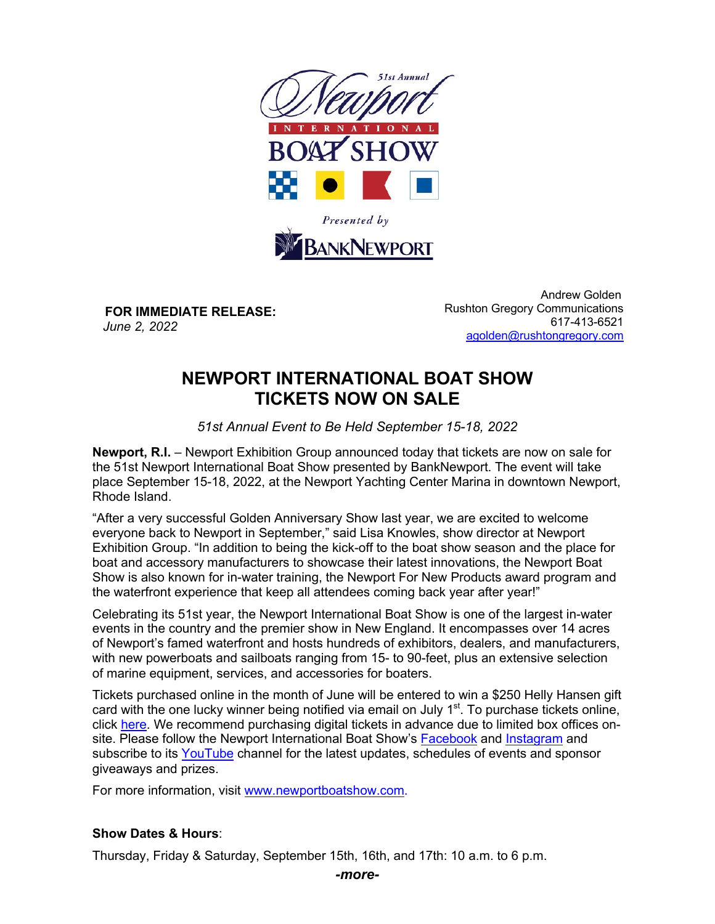

**FOR IMMEDIATE RELEASE:** *June 2, 2022*

 Andrew Golden Rushton Gregory Communications 617-413-6521 agolden@rushtongregory.com

# **NEWPORT INTERNATIONAL BOAT SHOW TICKETS NOW ON SALE**

*51st Annual Event to Be Held September 15-18, 2022*

**Newport, R.I.** – Newport Exhibition Group announced today that tickets are now on sale for the 51st Newport International Boat Show presented by BankNewport. The event will take place September 15-18, 2022, at the Newport Yachting Center Marina in downtown Newport, Rhode Island.

"After a very successful Golden Anniversary Show last year, we are excited to welcome everyone back to Newport in September," said Lisa Knowles, show director at Newport Exhibition Group. "In addition to being the kick-off to the boat show season and the place for boat and accessory manufacturers to showcase their latest innovations, the Newport Boat Show is also known for in-water training, the Newport For New Products award program and the waterfront experience that keep all attendees coming back year after year!"

Celebrating its 51st year, the Newport International Boat Show is one of the largest in-water events in the country and the premier show in New England. It encompasses over 14 acres of Newport's famed waterfront and hosts hundreds of exhibitors, dealers, and manufacturers, with new powerboats and sailboats ranging from 15- to 90-feet, plus an extensive selection of marine equipment, services, and accessories for boaters.

Tickets purchased online in the month of June will be entered to win a \$250 Helly Hansen gift card with the one lucky winner being notified via email on July  $1<sup>st</sup>$ . To purchase tickets online, click here. We recommend purchasing digital tickets in advance due to limited box offices onsite. Please follow the Newport International Boat Show's Facebook and Instagram and subscribe to its YouTube channel for the latest updates, schedules of events and sponsor giveaways and prizes.

For more information, visit www.newportboatshow.com.

## **Show Dates & Hours**:

Thursday, Friday & Saturday, September 15th, 16th, and 17th: 10 a.m. to 6 p.m.